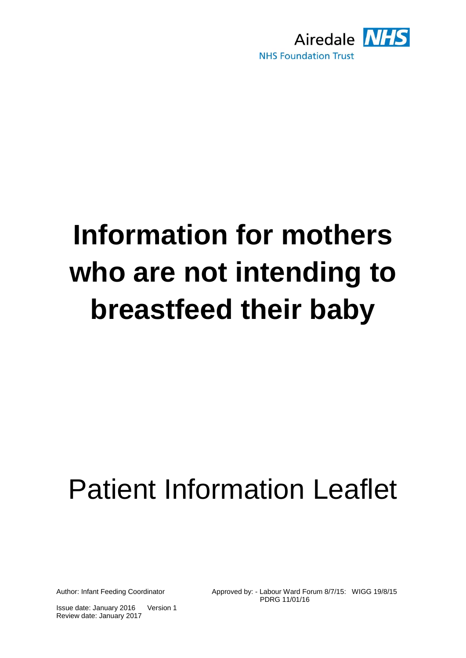

# **Information for mothers who are not intending to breastfeed their baby**

## Patient Information Leaflet

Author: Infant Feeding Coordinator Approved by: - Labour Ward Forum 8/7/15: WIGG 19/8/15 PDRG 11/01/16

Issue date: January 2016 Review date: January 2017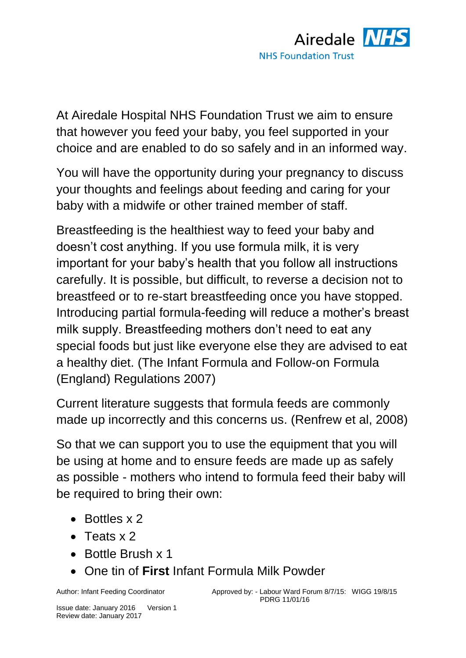

At Airedale Hospital NHS Foundation Trust we aim to ensure that however you feed your baby, you feel supported in your choice and are enabled to do so safely and in an informed way.

You will have the opportunity during your pregnancy to discuss your thoughts and feelings about feeding and caring for your baby with a midwife or other trained member of staff.

Breastfeeding is the healthiest way to feed your baby and doesn't cost anything. If you use formula milk, it is very important for your baby's health that you follow all instructions carefully. It is possible, but difficult, to reverse a decision not to breastfeed or to re-start breastfeeding once you have stopped. Introducing partial formula-feeding will reduce a mother's breast milk supply. Breastfeeding mothers don't need to eat any special foods but just like everyone else they are advised to eat a healthy diet. (The Infant Formula and Follow-on Formula (England) Regulations 2007)

Current literature suggests that formula feeds are commonly made up incorrectly and this concerns us. (Renfrew et al, 2008)

So that we can support you to use the equipment that you will be using at home and to ensure feeds are made up as safely as possible - mothers who intend to formula feed their baby will be required to bring their own:

- Bottles x 2
- $\bullet$  Teats x 2
- Bottle Brush x 1
- One tin of **First** Infant Formula Milk Powder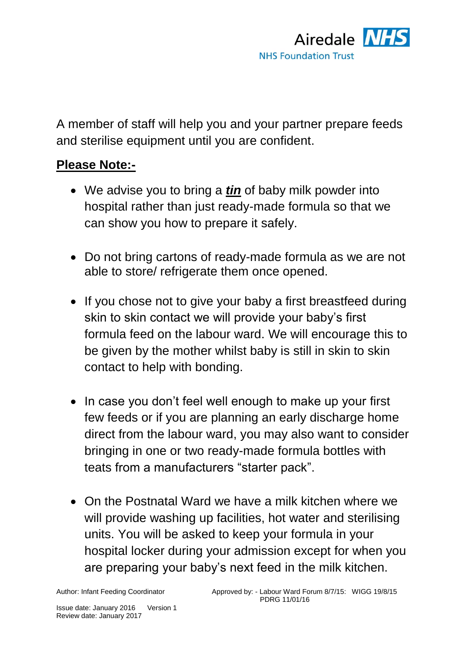

A member of staff will help you and your partner prepare feeds and sterilise equipment until you are confident.

#### **Please Note:-**

- We advise you to bring a *tin* of baby milk powder into hospital rather than just ready-made formula so that we can show you how to prepare it safely.
- Do not bring cartons of ready-made formula as we are not able to store/ refrigerate them once opened.
- If you chose not to give your baby a first breastfeed during skin to skin contact we will provide your baby's first formula feed on the labour ward. We will encourage this to be given by the mother whilst baby is still in skin to skin contact to help with bonding.
- In case you don't feel well enough to make up your first few feeds or if you are planning an early discharge home direct from the labour ward, you may also want to consider bringing in one or two ready-made formula bottles with teats from a manufacturers "starter pack".
- On the Postnatal Ward we have a milk kitchen where we will provide washing up facilities, hot water and sterilising units. You will be asked to keep your formula in your hospital locker during your admission except for when you are preparing your baby's next feed in the milk kitchen.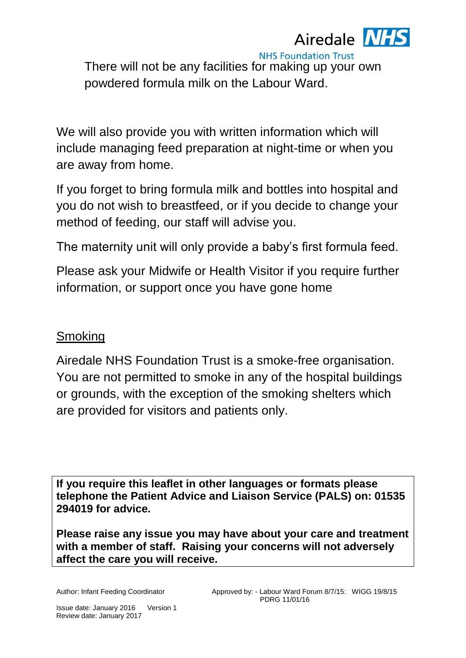### Airedale **NHS**

**NHS Foundation Trust** There will not be any facilities for making up your own powdered formula milk on the Labour Ward.

We will also provide you with written information which will include managing feed preparation at night-time or when you are away from home.

If you forget to bring formula milk and bottles into hospital and you do not wish to breastfeed, or if you decide to change your method of feeding, our staff will advise you.

The maternity unit will only provide a baby's first formula feed.

Please ask your Midwife or Health Visitor if you require further information, or support once you have gone home

#### Smoking

Airedale NHS Foundation Trust is a smoke-free organisation. You are not permitted to smoke in any of the hospital buildings or grounds, with the exception of the smoking shelters which are provided for visitors and patients only.

**If you require this leaflet in other languages or formats please telephone the Patient Advice and Liaison Service (PALS) on: 01535 294019 for advice.**

**Please raise any issue you may have about your care and treatment with a member of staff. Raising your concerns will not adversely affect the care you will receive.**